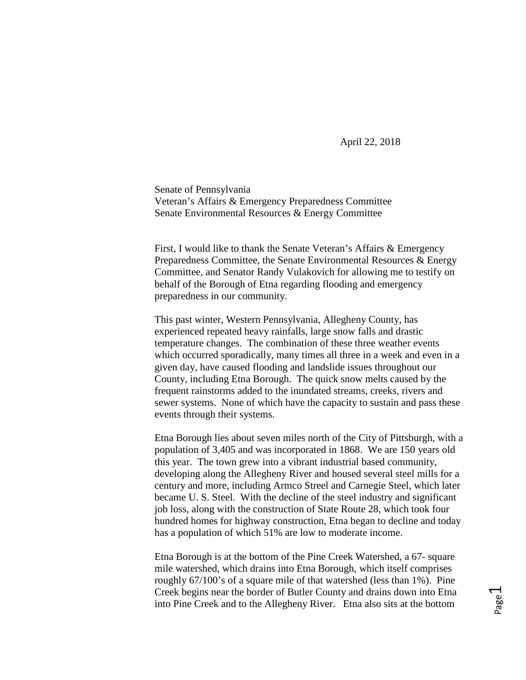April 22, 2018

Senate of Pennsylvania Veteran's Affairs & Emergency Preparedness Committee Senate Environmental Resources & Energy Committee

First, I would like to thank the Senate Veteran's Affairs & Emergency Preparedness Committee, the Senate Environmental Resources & Energy Committee, and Senator Randy Vulakovich for allowing me to testify on behalf of the Borough of Etna regarding flooding and emergency preparedness in our community.

This past winter, Western Pennsylvania, Allegheny County, has experienced repeated heavy rainfalls, large snow falls and drastic temperature changes. The combination of these three weather events which occurred sporadically, many times all three in a week and even in a given day, have caused flooding and landslide issues throughout our County, including Etna Borough. The quick snow melts caused by the frequent rainstorms added to the inundated streams, creeks, rivers and sewer systems. None of which have the capacity to sustain and pass these events through their systems.

Etna Borough lies about seven miles north of the City of Pittsburgh, with a population of 3,405 and was incorporated in 1868. We are 150 years old this year. The town grew into a vibrant industrial based community, developing along the Allegheny River and housed several steel mills for a century and more, including Armco Streel and Carnegie Steel, which later became U. S. Steel. With the decline of the steel industry and significant job loss, along with the construction of State Route 28, which took four hundred homes for highway construction, Etna began to decline and today has a population of which 51% are low to moderate income.

Etna Borough is at the bottom of the Pine Creek Watershed, a 67- square mile watershed, which drains into Etna Borough, which itself comprises roughly 67/100's of a square mile of that watershed (less than 1%). Pine Creek begins near the border of Butler County and drains down into Etna into Pine Creek and to the Allegheny River. Etna also sits at the bottom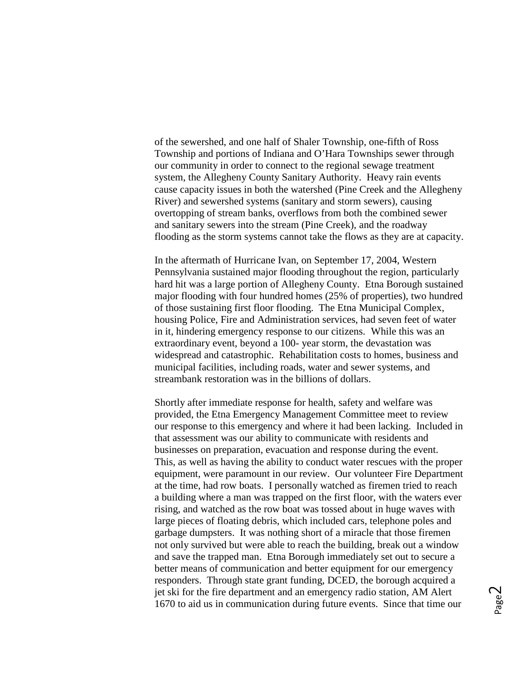of the sewershed, and one half of Shaler Township, one-fifth of Ross Township and portions of Indiana and O'Hara Townships sewer through our community in order to connect to the regional sewage treatment system, the Allegheny County Sanitary Authority. Heavy rain events cause capacity issues in both the watershed (Pine Creek and the Allegheny River) and sewershed systems (sanitary and storm sewers), causing overtopping of stream banks, overflows from both the combined sewer and sanitary sewers into the stream (Pine Creek), and the roadway flooding as the storm systems cannot take the flows as they are at capacity.

In the aftermath of Hurricane Ivan, on September 17, 2004, Western Pennsylvania sustained major flooding throughout the region, particularly hard hit was a large portion of Allegheny County. Etna Borough sustained major flooding with four hundred homes (25% of properties), two hundred of those sustaining first floor flooding. The Etna Municipal Complex, housing Police, Fire and Administration services, had seven feet of water in it, hindering emergency response to our citizens. While this was an extraordinary event, beyond a 100- year storm, the devastation was widespread and catastrophic. Rehabilitation costs to homes, business and municipal facilities, including roads, water and sewer systems, and streambank restoration was in the billions of dollars.

Shortly after immediate response for health, safety and welfare was provided, the Etna Emergency Management Committee meet to review our response to this emergency and where it had been lacking. Included in that assessment was our ability to communicate with residents and businesses on preparation, evacuation and response during the event. This, as well as having the ability to conduct water rescues with the proper equipment, were paramount in our review. Our volunteer Fire Department at the time, had row boats. I personally watched as firemen tried to reach a building where a man was trapped on the first floor, with the waters ever rising, and watched as the row boat was tossed about in huge waves with large pieces of floating debris, which included cars, telephone poles and garbage dumpsters. It was nothing short of a miracle that those firemen not only survived but were able to reach the building, break out a window and save the trapped man. Etna Borough immediately set out to secure a better means of communication and better equipment for our emergency responders. Through state grant funding, DCED, the borough acquired a jet ski for the fire department and an emergency radio station, AM Alert 1670 to aid us in communication during future events. Since that time our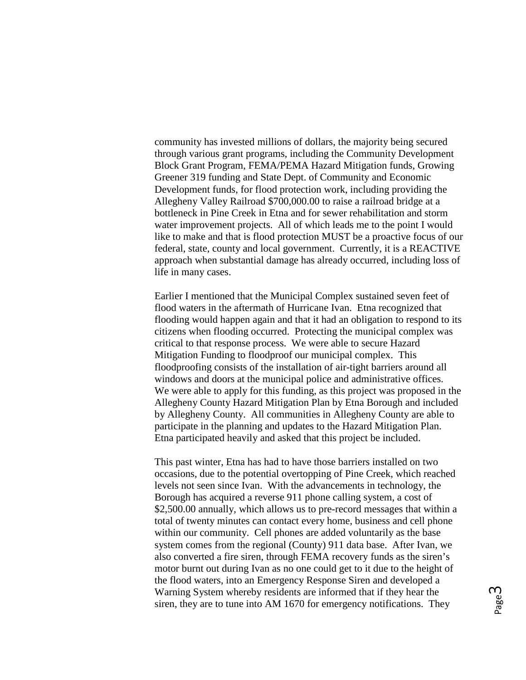community has invested millions of dollars, the majority being secured through various grant programs, including the Community Development Block Grant Program, FEMA/PEMA Hazard Mitigation funds, Growing Greener 319 funding and State Dept. of Community and Economic Development funds, for flood protection work, including providing the Allegheny Valley Railroad \$700,000.00 to raise a railroad bridge at a bottleneck in Pine Creek in Etna and for sewer rehabilitation and storm water improvement projects. All of which leads me to the point I would like to make and that is flood protection MUST be a proactive focus of our federal, state, county and local government. Currently, it is a REACTIVE approach when substantial damage has already occurred, including loss of life in many cases.

Earlier I mentioned that the Municipal Complex sustained seven feet of flood waters in the aftermath of Hurricane Ivan. Etna recognized that flooding would happen again and that it had an obligation to respond to its citizens when flooding occurred. Protecting the municipal complex was critical to that response process. We were able to secure Hazard Mitigation Funding to floodproof our municipal complex. This floodproofing consists of the installation of air-tight barriers around all windows and doors at the municipal police and administrative offices. We were able to apply for this funding, as this project was proposed in the Allegheny County Hazard Mitigation Plan by Etna Borough and included by Allegheny County. All communities in Allegheny County are able to participate in the planning and updates to the Hazard Mitigation Plan. Etna participated heavily and asked that this project be included.

This past winter, Etna has had to have those barriers installed on two occasions, due to the potential overtopping of Pine Creek, which reached levels not seen since Ivan. With the advancements in technology, the Borough has acquired a reverse 911 phone calling system, a cost of \$2,500.00 annually, which allows us to pre-record messages that within a total of twenty minutes can contact every home, business and cell phone within our community. Cell phones are added voluntarily as the base system comes from the regional (County) 911 data base. After Ivan, we also converted a fire siren, through FEMA recovery funds as the siren's motor burnt out during Ivan as no one could get to it due to the height of the flood waters, into an Emergency Response Siren and developed a Warning System whereby residents are informed that if they hear the siren, they are to tune into AM 1670 for emergency notifications. They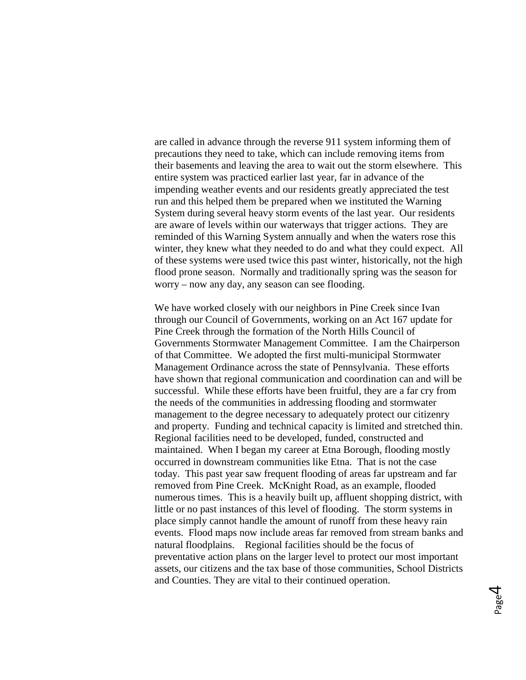are called in advance through the reverse 911 system informing them of precautions they need to take, which can include removing items from their basements and leaving the area to wait out the storm elsewhere. This entire system was practiced earlier last year, far in advance of the impending weather events and our residents greatly appreciated the test run and this helped them be prepared when we instituted the Warning System during several heavy storm events of the last year. Our residents are aware of levels within our waterways that trigger actions. They are reminded of this Warning System annually and when the waters rose this winter, they knew what they needed to do and what they could expect. All of these systems were used twice this past winter, historically, not the high flood prone season. Normally and traditionally spring was the season for worry – now any day, any season can see flooding.

We have worked closely with our neighbors in Pine Creek since Ivan through our Council of Governments, working on an Act 167 update for Pine Creek through the formation of the North Hills Council of Governments Stormwater Management Committee. I am the Chairperson of that Committee. We adopted the first multi-municipal Stormwater Management Ordinance across the state of Pennsylvania. These efforts have shown that regional communication and coordination can and will be successful. While these efforts have been fruitful, they are a far cry from the needs of the communities in addressing flooding and stormwater management to the degree necessary to adequately protect our citizenry and property. Funding and technical capacity is limited and stretched thin. Regional facilities need to be developed, funded, constructed and maintained. When I began my career at Etna Borough, flooding mostly occurred in downstream communities like Etna. That is not the case today. This past year saw frequent flooding of areas far upstream and far removed from Pine Creek. McKnight Road, as an example, flooded numerous times. This is a heavily built up, affluent shopping district, with little or no past instances of this level of flooding. The storm systems in place simply cannot handle the amount of runoff from these heavy rain events. Flood maps now include areas far removed from stream banks and natural floodplains. Regional facilities should be the focus of preventative action plans on the larger level to protect our most important assets, our citizens and the tax base of those communities, School Districts and Counties. They are vital to their continued operation.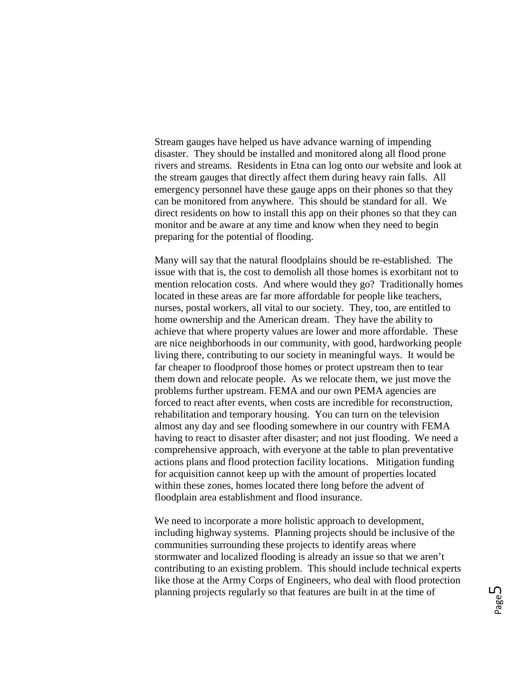Stream gauges have helped us have advance warning of impending disaster. They should be installed and monitored along all flood prone rivers and streams. Residents in Etna can log onto our website and look at the stream gauges that directly affect them during heavy rain falls. All emergency personnel have these gauge apps on their phones so that they can be monitored from anywhere. This should be standard for all. We direct residents on how to install this app on their phones so that they can monitor and be aware at any time and know when they need to begin preparing for the potential of flooding.

Many will say that the natural floodplains should be re-established. The issue with that is, the cost to demolish all those homes is exorbitant not to mention relocation costs. And where would they go? Traditionally homes located in these areas are far more affordable for people like teachers, nurses, postal workers, all vital to our society. They, too, are entitled to home ownership and the American dream. They have the ability to achieve that where property values are lower and more affordable. These are nice neighborhoods in our community, with good, hardworking people living there, contributing to our society in meaningful ways. It would be far cheaper to floodproof those homes or protect upstream then to tear them down and relocate people. As we relocate them, we just move the problems further upstream. FEMA and our own PEMA agencies are forced to react after events, when costs are incredible for reconstruction, rehabilitation and temporary housing. You can turn on the television almost any day and see flooding somewhere in our country with FEMA having to react to disaster after disaster; and not just flooding. We need a comprehensive approach, with everyone at the table to plan preventative actions plans and flood protection facility locations. Mitigation funding for acquisition cannot keep up with the amount of properties located within these zones, homes located there long before the advent of floodplain area establishment and flood insurance.

We need to incorporate a more holistic approach to development, including highway systems. Planning projects should be inclusive of the communities surrounding these projects to identify areas where stormwater and localized flooding is already an issue so that we aren't contributing to an existing problem. This should include technical experts like those at the Army Corps of Engineers, who deal with flood protection planning projects regularly so that features are built in at the time of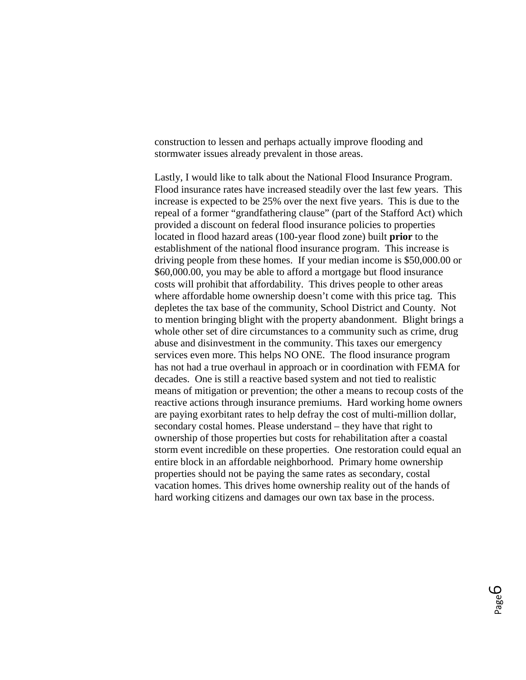construction to lessen and perhaps actually improve flooding and stormwater issues already prevalent in those areas.

Lastly, I would like to talk about the National Flood Insurance Program. Flood insurance rates have increased steadily over the last few years. This increase is expected to be 25% over the next five years. This is due to the repeal of a former "grandfathering clause" (part of the Stafford Act) which provided a discount on federal flood insurance policies to properties located in flood hazard areas (100-year flood zone) built **prior** to the establishment of the national flood insurance program. This increase is driving people from these homes. If your median income is \$50,000.00 or \$60,000.00, you may be able to afford a mortgage but flood insurance costs will prohibit that affordability. This drives people to other areas where affordable home ownership doesn't come with this price tag. This depletes the tax base of the community, School District and County. Not to mention bringing blight with the property abandonment. Blight brings a whole other set of dire circumstances to a community such as crime, drug abuse and disinvestment in the community. This taxes our emergency services even more. This helps NO ONE. The flood insurance program has not had a true overhaul in approach or in coordination with FEMA for decades. One is still a reactive based system and not tied to realistic means of mitigation or prevention; the other a means to recoup costs of the reactive actions through insurance premiums. Hard working home owners are paying exorbitant rates to help defray the cost of multi-million dollar, secondary costal homes. Please understand – they have that right to ownership of those properties but costs for rehabilitation after a coastal storm event incredible on these properties. One restoration could equal an entire block in an affordable neighborhood. Primary home ownership properties should not be paying the same rates as secondary, costal vacation homes. This drives home ownership reality out of the hands of hard working citizens and damages our own tax base in the process.